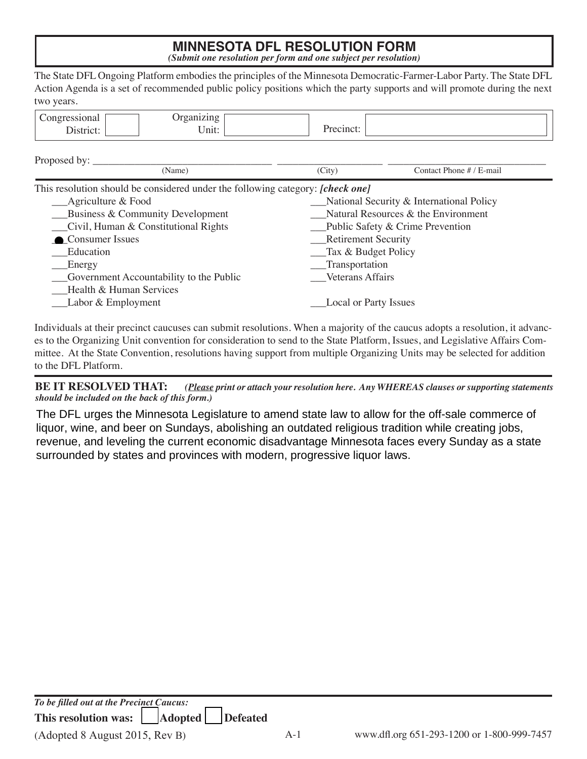## **MINNESOTA DFL RESOLUTION FORM** *(Submit one resolution per form and one subject per resolution)*

The State DFL Ongoing Platform embodies the principles of the Minnesota Democratic-Farmer-Labor Party. The State DFL Action Agenda is a set of recommended public policy positions which the party supports and will promote during the next two years.

| Proposed by:                             |                                                                                       |  |  |  |
|------------------------------------------|---------------------------------------------------------------------------------------|--|--|--|
| (City)                                   | Contact Phone # / E-mail                                                              |  |  |  |
|                                          |                                                                                       |  |  |  |
| National Security & International Policy |                                                                                       |  |  |  |
| Natural Resources & the Environment      |                                                                                       |  |  |  |
| $\Box$ Public Safety & Crime Prevention  |                                                                                       |  |  |  |
| Retirement Security                      |                                                                                       |  |  |  |
| __Tax & Budget Policy                    |                                                                                       |  |  |  |
| __Transportation                         |                                                                                       |  |  |  |
| <b>Veterans Affairs</b>                  |                                                                                       |  |  |  |
|                                          |                                                                                       |  |  |  |
| <b>Local or Party Issues</b>             |                                                                                       |  |  |  |
|                                          | This resolution should be considered under the following category: <i>[check one]</i> |  |  |  |

Individuals at their precinct caucuses can submit resolutions. When a majority of the caucus adopts a resolution, it advances to the Organizing Unit convention for consideration to send to the State Platform, Issues, and Legislative Affairs Committee. At the State Convention, resolutions having support from multiple Organizing Units may be selected for addition to the DFL Platform.

**BE IT RESOLVED THAT:** *(Please print or attach your resolution here. Any WHEREAS clauses or supporting statements should be included on the back of this form.)*

The DFL urges the Minnesota Legislature to amend state law to allow for the off-sale commerce of liquor, wine, and beer on Sundays, abolishing an outdated religious tradition while creating jobs, revenue, and leveling the current economic disadvantage Minnesota faces every Sunday as a state surrounded by states and provinces with modern, progressive liquor laws.